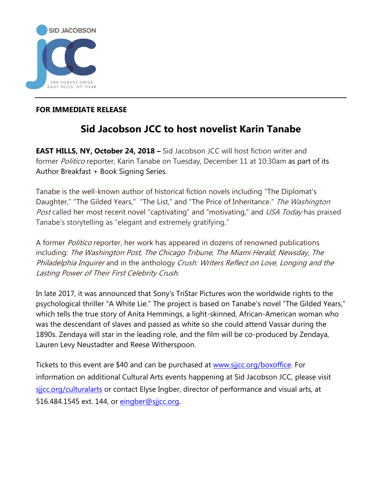

## **FOR IMMEDIATE RELEASE**

## **Sid Jacobson JCC to host novelist Karin Tanabe**

**EAST HILLS, NY, October 24, 2018 –** Sid Jacobson JCC will host fiction writer and former Politico reporter, Karin Tanabe on Tuesday, December 11 at 10:30am as part of its Author Breakfast + Book Signing Series.

Tanabe is the well-known author of historical fiction novels including "The Diplomat's Daughter," "The Gilded Years," "The List," and "The Price of Inheritance." The Washington Post called her most recent novel "captivating" and "motivating," and USA Today has praised Tanabe's storytelling as "elegant and extremely gratifying."

A former *Politico* reporter, her work has appeared in dozens of renowned publications including: The Washington Post, The Chicago Tribune, The Miami Herald, Newsday, The Philadelphia Inquirer and in the anthology Crush: Writers Reflect on Love, Longing and the Lasting Power of Their First Celebrity Crush.

In late 2017, it was announced that Sony's TriStar Pictures won the worldwide rights to the psychological thriller "A White Lie." The project is based on Tanabe's novel "The Gilded Years," which tells the true story of Anita Hemmings, a light-skinned, African-American woman who was the descendant of slaves and passed as white so she could attend Vassar during the 1890s. Zendaya will star in the leading role, and the film will be co-produced by Zendaya, Lauren Levy Neustadter and Reese Witherspoon.

Tickets to this event are \$40 and can be purchased at [www.sjjcc.org/boxoffice.](http://www.sjjcc.org/boxoffice) For information on additional Cultural Arts events happening at Sid Jacobson JCC, please visit sijcc.org/culturalarts or contact Elyse Ingber, director of performance and visual arts, at 516.484.1545 ext. 144, or [eingber@sjjcc.org.](mailto:eingber@sjjcc.org)